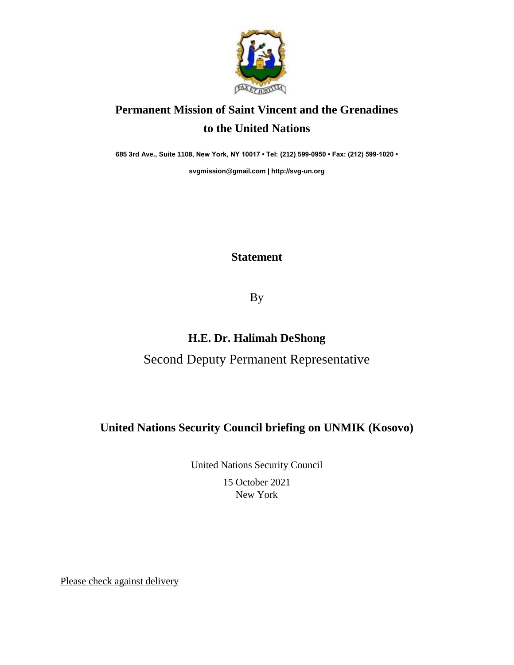

# **Permanent Mission of Saint Vincent and the Grenadines to the United Nations**

**685 3rd Ave., Suite 1108, New York, NY 10017 • Tel: (212) 599-0950 • Fax: (212) 599-1020 •** 

**[svgmission@gmail.com](mailto:svgmission@gmail.com) [| http://svg-un.org](http://svg-un.org/)**

#### **Statement**

By

## **H.E. Dr. Halimah DeShong**

## Second Deputy Permanent Representative

#### **United Nations Security Council briefing on UNMIK (Kosovo)**

United Nations Security Council 15 October 2021 New York

Please check against delivery